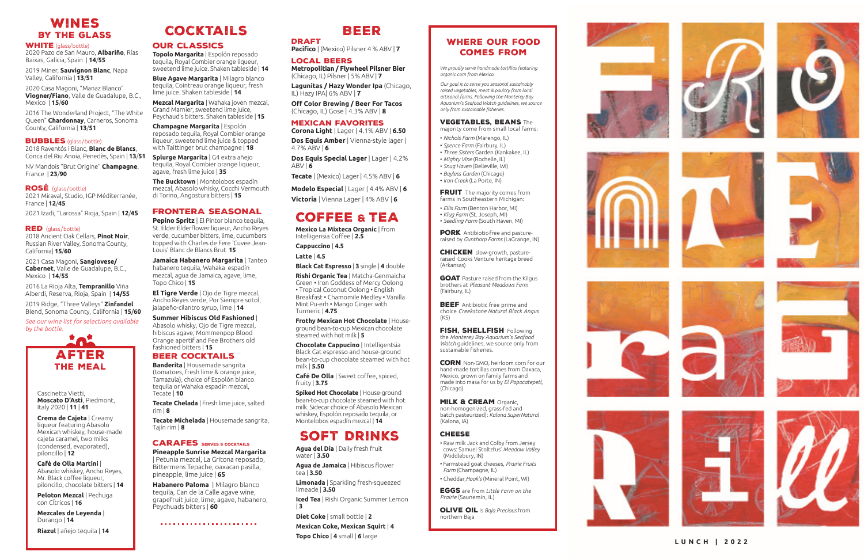*We proudly serve handmade tortillas featuring organic corn from Mexico.*

*Our goal is to serve you seasonal sustainably raised vegetables, meat & poultry from local artisanal farms. Following the Monterey Bay Aquarium's Seafood Watch guidelines, we source only from sustainable fisheries.*

#### VEGETABLES. BEANS The

**FRUIT** The majority comes from farms in Southeastern Michigan:

majority come from small local farms:

PORK Antibiotic-free and pastureraised by *Gunthorp Farms* (LaGrange, IN)

- *Nichols Farm* (Marengo, IL)
- *Spence Farm* (Fairbury, IL) • *Three Sisters* Garden (Kankakee, IL)
- *Mighty Vine* (Rochelle, IL)
- *Snug Haven* (Belleville, WI)
- *Bayless Garden* (Chicago)
- *Iron Creek* (La Porte, IN)

**GOAT** Pasture raised from the Kilgus brothers at *Pleasant Meadows Farm* (Fairbury, IL)

**BEEF** Antibiotic free prime and choice *Creekstone Natural Black Angus* (KS)

FISH, SHELLFISH Following the *Monterey Bay Aquarium's Seafood Watch* guidelines, we source only from sustainable fisheries.

**CORN** Non-GMO, heirloom corn for our hand-made tortillas comes from Oaxaca, Mexico, grown on family farms and made into masa for us by *El Popocatepetl,* (Chicago)

- *Ellis Farm* (Benton Harbor, MI)
- *Klug Farm* (St. Joseph, MI) • *Seedling Farm* (South Haven, MI)

**MILK & CREAM Organic,** non-homogenized, grass-fed and batch pasteurized): *Kalona SuperNatural*  (Kalona, IA)

- Raw milk Jack and Colby from Jersey cows: Samuel Stoltzfus' *Meadow Valley* (Middlebury, IN)
- Farmstead goat cheeses, *Prairie Fruits Farm* (Champagne, IL)
- Cheddar,*Hook's* (Mineral Point, WI) **EGGS** are from *Little Farm on the*

CHICKEN slow-growth, pastureraised Cooks Venture heritage breed (Arkansas)

## Wines BEER BEER COCKTAILS BEER

#### WHITE (glass/bottle)

#### CHEESE

*Prairie*  (Saunemin, IL)

Olive Oil is *Baja Precious* from

northern Baja



# Coffee & TEA

## Soft Drinks

**Pacifico** | (Mexico) Pilsner 4 % ABV | **7**

#### Local Beers

**Metropolitian / Flywheel Pilsner Bier** (Chicago, IL) Pilsner | 5% ABV | **7**

**Lagunitas / Hazy Wonder Ipa** (Chicago, IL) Hazy IPA| 6% ABV | **7**

**Off Color Brewing / Beer For Tacos**  (Chicago, IL) Gose | 4.3% ABV | **8**

### Mexican Favorites

**Corona Light** | Lager | 4.1% ABV | **6.50**

**Dos Equis Amber** | Vienna-style lager | 4.7% ABV | **6**

**Dos Equis Special Lager** | Lager | 4.2% ABV | **6**

**Tecate** | (Mexico) Lager | 4.5% ABV | **6**

**Modelo Especial** | Lager | 4.4% ABV | **6 Victoria** | Vienna Lager | 4% ABV | **6**

**Mexico La Mixteca Organic** | from Intelligensia Coffee | **2.5**

**Cappuccino** | **4.5** 

**Pepino Spritz** | El Pintor blanco tequila, St. Elder Elderflower liqueur, Ancho Reyes verde, cucumber bitters, lime, cucumbers topped with Charles de Fere 'Cuvee Jean-Louis' Blanc de Blancs Brut **15**

**Latte** | **4.5**

**Black Cat Espresso** | **3** single | **4** double

**Rishi Organic Tea** | Matcha-Genmaicha Green • Iron Goddess of Mercy Oolong • Tropical Coconut Oolong • English Breakfast • Chamomile Medley • Vanilla Mint Pu-erh • Mango Ginger with Turmeric | **4.75**

**Frothy Mexican Hot Chocolate** | Houseground bean-to-cup Mexican chocolate steamed with hot milk | **5**

**Chocolate Cappucino** | Intelligentsia Black Cat espresso and house-ground bean-to-cup chocolate steamed with hot milk | **5.50**

**Café De Olla** | Sweet coffee, spiced, fruity | **3.75**

**Spiked Hot Chocolate** | House-ground bean-to-cup chocolate steamed with hot milk. Sidecar choice of Abasolo Mexican whiskey, Espolón reposado tequila, or Montelobos espadín mezcal | **14**

**Agua del Día** | Daily fresh fruit water | **3.50**

**Agua de Jamaica** | Hibiscus flower tea | **3.50**

**Limonada** | Sparkling fresh-squeezed limeade | **3.50**

**Iced Tea** | Rishi Organic Summer Lemon | **3**

**Diet Coke** | small bottle | **2**

**Mexican Coke, Mexican Squirt** | **4 Topo Chico** |

**<sup>4</sup>** small | **6** large **LUNCH | 2022**

Cascinetta Vietti, **Moscato D'Asti**, Piedmont, Italy 2020 | **11** | **41**

**Crema de Cajeta** | Creamy liqueur featuring Abasolo Mexican whiskey, house-made cajeta caramel, two milks (condensed, evaporated), piloncillo | **12**

**Café de Olla Martini** | Abasolo whiskey, Ancho Reyes, Mr. Black coffee liqueur, piloncillo, chocolate bitters | **14**

**Peloton Mezcal** | Pechuga con CÍtricos | **16**

**Mezcales de Leyenda** | Durango | **14**

**Riazul** | añejo tequila | **14**

# after the meal

### our classics

**Topolo Margarita** | Espolón reposado tequila, Royal Combier orange liqueur, sweetend lime juice. Shaken tableside | **14**

**Blue Agave Margarita** | Milagro blanco tequila, Cointreau orange liqueur, fresh lime juice. Shaken tableside | **14**

**Mezcal Margarita** | Wahaka joven mezcal, Grand Marnier, sweetend lime juice, Peychaud's bitters. Shaken tableside | **15**

**Champagne Margarita** | Espolón reposado tequila, Royal Combier orange

liqueur, sweetend lime juice & topped with Taittinger brut champagne | **18 Splurge Margarita** | G4 extra añejo

tequila, Royal Combier orange liqueur, agave, fresh lime juice | **35 The Bucktown** | Montolobos espadín

mezcal, Abasolo whisky, Cocchi Vermouth di Torino, Angostura bitters | **15**

## FRONTERA SEASONAL

**Jamaica Habanero Margarita** | Tanteo habanero tequila, Wahaka espadín mezcal, agua de Jamaica, agave, lime, Topo Chico | **15**

**El Tigre Verde** | Ojo de Tigre mezcal, Ancho Reyes verde, Por Siempre sotol, jalapeño-cilantro syrup, lime | **14**

**Summer Hibiscus Old Fashioned** | Abasolo whisky, Ojo de Tigre mezcal, hibiscus agave, Mommenpop Blood Orange apertif and Fee Brothers old fashioned bitters | **15**

## BEER COCKTAILS

**Banderita** | Housemade sangrita (tomatoes, fresh lime & orange juice, Tamazula), choice of Espolón blanco tequila or Wahaka espadín mezcal, Tecate | **10**

**Tecate Chelada** | Fresh lime juice, salted rim | **8**

**Tecate Michelada** | Housemade sangrita, Tajín rim | **8**

#### CARAFES SERVES 5 COCKTAILS

**Pineapple Sunrise Mezcal Margarita**  | Petunia mezcal, La Gritona reposado, Bittermens Tepache, oaxacan pasilla, pineapple, lime juice | **65**

**Habanero Paloma** | Milagro blanco tequila, Can de la Calle agave wine, grapefruit juice, lime, agave, habanero, Peychuads bitters | **60**

**DRAFT** 

### Where Our Food Comes From

2020 Pazo de San Mauro, **Albariño**, Rías Baixas, Galicia, Spain | **14** /**55**

2019 Miner, **Sauvignon Blanc**, Napa Valley, California | **13** /**51**

2020 Casa Magoni, "Manaz Blanco" **Viogner/Fiano**, Valle de Guadalupe, B.C., Mexico | **15** /**60**

2016 The Wonderland Project, "The White Queen" **Chardonnay**, Carneros, Sonoma County, California | **13** /**51**

#### **BUBBLES** (glass/bottle)

2018 Raventós i Blanc, **Blanc de Blancs**, Conca del Riu Anoia, Penedès, Spain | **13** /**51**

NV Mandois "Brut Origine" **Champagne**, France | **23** /**90**

#### ROSÉ (glass/bottle)

2021 Miraval, Studio, IGP Méditerranée, France | **12** /**45** 

2021 Izadi, "Larossa" Rioja, Spain | **12** /**4 5**

#### **RED** (glass/bottle)

2018 Ancient Oak Cellars, **Pinot Noir**, Russian River Valley, Sonoma County, California| **15** /**60**

2021 Casa Magoni, **Sangiovese/ Cabernet**, Valle de Guadalupe, B.C., Mexico | **14** /**55**

2016 La Rioja Alta, **Tempranillo** Viña Alberdi, Reserva, Rioja, Spain | **14/55**

2019 Ridge, "Three Valleys" **Zinfandel**  Blend, Sonoma County, California | **15** /**60**

*See our wine list for selections available by the bottle.*